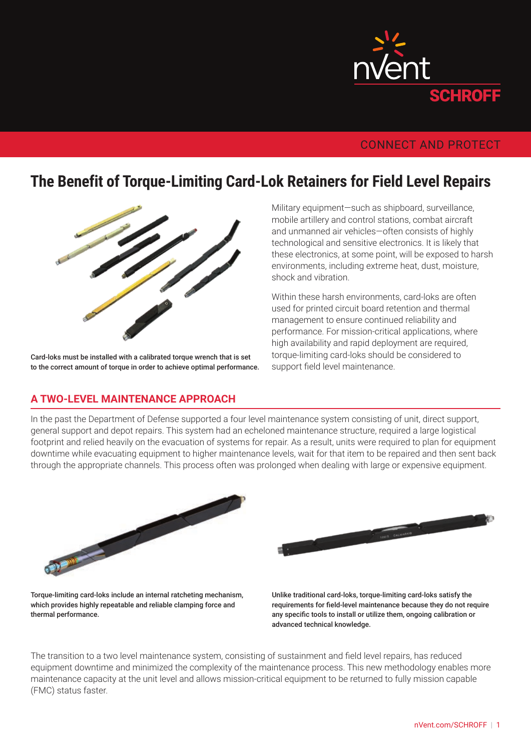

# CONNECT AND PROTECT

# **The Benefit of Torque-Limiting Card-Lok Retainers for Field Level Repairs**



Card-loks must be installed with a calibrated torque wrench that is set to the correct amount of torque in order to achieve optimal performance.

#### **A TWO-LEVEL MAINTENANCE APPROACH**

Military equipment—such as shipboard, surveillance, mobile artillery and control stations, combat aircraft and unmanned air vehicles—often consists of highly technological and sensitive electronics. It is likely that these electronics, at some point, will be exposed to harsh environments, including extreme heat, dust, moisture, shock and vibration.

Within these harsh environments, card-loks are often used for printed circuit board retention and thermal management to ensure continued reliability and performance. For mission-critical applications, where high availability and rapid deployment are required, torque-limiting card-loks should be considered to support field level maintenance.

In the past the Department of Defense supported a four level maintenance system consisting of unit, direct support, general support and depot repairs. This system had an echeloned maintenance structure, required a large logistical footprint and relied heavily on the evacuation of systems for repair. As a result, units were required to plan for equipment downtime while evacuating equipment to higher maintenance levels, wait for that item to be repaired and then sent back through the appropriate channels. This process often was prolonged when dealing with large or expensive equipment.





Torque-limiting card-loks include an internal ratcheting mechanism, which provides highly repeatable and reliable clamping force and thermal performance.

Unlike traditional card-loks, torque-limiting card-loks satisfy the requirements for field-level maintenance because they do not require any specific tools to install or utilize them, ongoing calibration or advanced technical knowledge.

The transition to a two level maintenance system, consisting of sustainment and field level repairs, has reduced equipment downtime and minimized the complexity of the maintenance process. This new methodology enables more maintenance capacity at the unit level and allows mission-critical equipment to be returned to fully mission capable (FMC) status faster.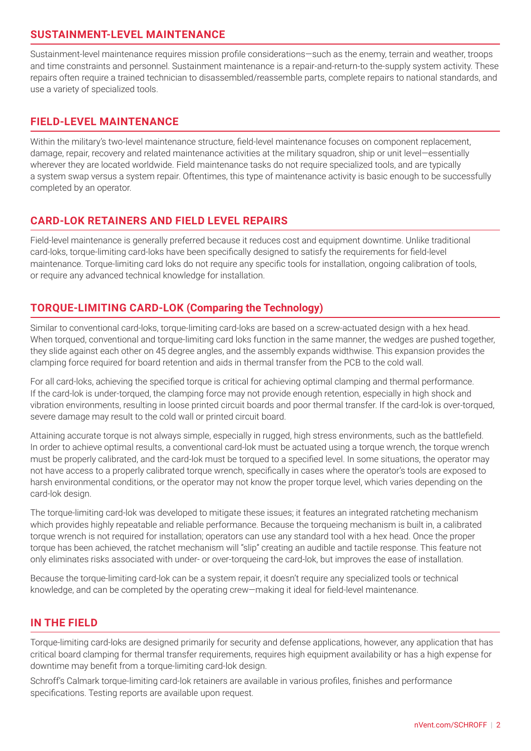### **SUSTAINMENT-LEVEL MAINTENANCE**

Sustainment-level maintenance requires mission profile considerations—such as the enemy, terrain and weather, troops and time constraints and personnel. Sustainment maintenance is a repair-and-return-to the-supply system activity. These repairs often require a trained technician to disassembled/reassemble parts, complete repairs to national standards, and use a variety of specialized tools.

#### **FIELD-LEVEL MAINTENANCE**

Within the military's two-level maintenance structure, field-level maintenance focuses on component replacement, damage, repair, recovery and related maintenance activities at the military squadron, ship or unit level—essentially wherever they are located worldwide. Field maintenance tasks do not require specialized tools, and are typically a system swap versus a system repair. Oftentimes, this type of maintenance activity is basic enough to be successfully completed by an operator.

#### **CARD-LOK RETAINERS AND FIELD LEVEL REPAIRS**

Field-level maintenance is generally preferred because it reduces cost and equipment downtime. Unlike traditional card-loks, torque-limiting card-loks have been specifically designed to satisfy the requirements for field-level maintenance. Torque-limiting card loks do not require any specific tools for installation, ongoing calibration of tools, or require any advanced technical knowledge for installation.

# **TORQUE-LIMITING CARD-LOK (Comparing the Technology)**

Similar to conventional card-loks, torque-limiting card-loks are based on a screw-actuated design with a hex head. When torqued, conventional and torque-limiting card loks function in the same manner, the wedges are pushed together, they slide against each other on 45 degree angles, and the assembly expands widthwise. This expansion provides the clamping force required for board retention and aids in thermal transfer from the PCB to the cold wall.

For all card-loks, achieving the specified torque is critical for achieving optimal clamping and thermal performance. If the card-lok is under-torqued, the clamping force may not provide enough retention, especially in high shock and vibration environments, resulting in loose printed circuit boards and poor thermal transfer. If the card-lok is over-torqued, severe damage may result to the cold wall or printed circuit board.

Attaining accurate torque is not always simple, especially in rugged, high stress environments, such as the battlefield. In order to achieve optimal results, a conventional card-lok must be actuated using a torque wrench, the torque wrench must be properly calibrated, and the card-lok must be torqued to a specified level. In some situations, the operator may not have access to a properly calibrated torque wrench, specifically in cases where the operator's tools are exposed to harsh environmental conditions, or the operator may not know the proper torque level, which varies depending on the card-lok design.

The torque-limiting card-lok was developed to mitigate these issues; it features an integrated ratcheting mechanism which provides highly repeatable and reliable performance. Because the torqueing mechanism is built in, a calibrated torque wrench is not required for installation; operators can use any standard tool with a hex head. Once the proper torque has been achieved, the ratchet mechanism will "slip" creating an audible and tactile response. This feature not only eliminates risks associated with under- or over-torqueing the card-lok, but improves the ease of installation.

Because the torque-limiting card-lok can be a system repair, it doesn't require any specialized tools or technical knowledge, and can be completed by the operating crew—making it ideal for field-level maintenance.

#### **IN THE FIELD**

Torque-limiting card-loks are designed primarily for security and defense applications, however, any application that has critical board clamping for thermal transfer requirements, requires high equipment availability or has a high expense for downtime may benefit from a torque-limiting card-lok design.

Schroff's Calmark torque-limiting card-lok retainers are available in various profiles, finishes and performance specifications. Testing reports are available upon request.